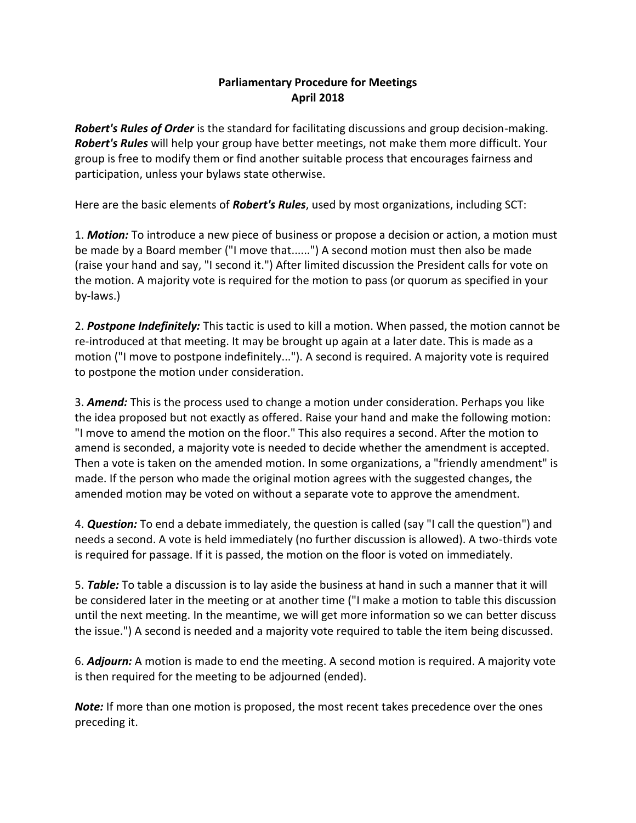### **Parliamentary Procedure for Meetings April 2018**

*Robert's Rules of Order* is the standard for facilitating discussions and group decision-making. *Robert's Rules* will help your group have better meetings, not make them more difficult. Your group is free to modify them or find another suitable process that encourages fairness and participation, unless your bylaws state otherwise.

Here are the basic elements of *Robert's Rules*, used by most organizations, including SCT:

1. *Motion:* To introduce a new piece of business or propose a decision or action, a motion must be made by a Board member ("I move that......") A second motion must then also be made (raise your hand and say, "I second it.") After limited discussion the President calls for vote on the motion. A majority vote is required for the motion to pass (or quorum as specified in your by-laws.)

2. *Postpone Indefinitely:* This tactic is used to kill a motion. When passed, the motion cannot be re-introduced at that meeting. It may be brought up again at a later date. This is made as a motion ("I move to postpone indefinitely..."). A second is required. A majority vote is required to postpone the motion under consideration.

3. *Amend:* This is the process used to change a motion under consideration. Perhaps you like the idea proposed but not exactly as offered. Raise your hand and make the following motion: "I move to amend the motion on the floor." This also requires a second. After the motion to amend is seconded, a majority vote is needed to decide whether the amendment is accepted. Then a vote is taken on the amended motion. In some organizations, a "friendly amendment" is made. If the person who made the original motion agrees with the suggested changes, the amended motion may be voted on without a separate vote to approve the amendment.

4. *Question:* To end a debate immediately, the question is called (say "I call the question") and needs a second. A vote is held immediately (no further discussion is allowed). A two-thirds vote is required for passage. If it is passed, the motion on the floor is voted on immediately.

5. *Table:* To table a discussion is to lay aside the business at hand in such a manner that it will be considered later in the meeting or at another time ("I make a motion to table this discussion until the next meeting. In the meantime, we will get more information so we can better discuss the issue.") A second is needed and a majority vote required to table the item being discussed.

6. *Adjourn:* A motion is made to end the meeting. A second motion is required. A majority vote is then required for the meeting to be adjourned (ended).

*Note:* If more than one motion is proposed, the most recent takes precedence over the ones preceding it.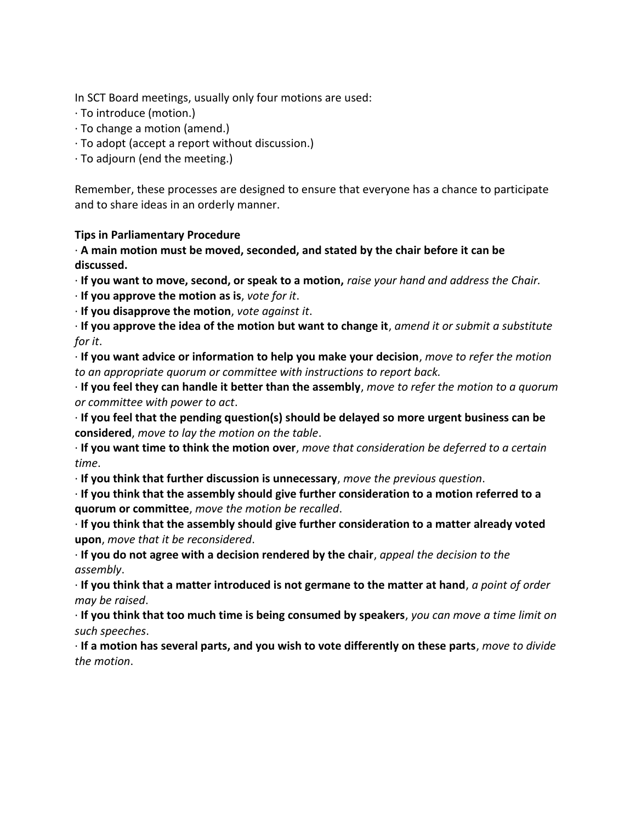In SCT Board meetings, usually only four motions are used:

- · To introduce (motion.)
- · To change a motion (amend.)
- · To adopt (accept a report without discussion.)
- · To adjourn (end the meeting.)

Remember, these processes are designed to ensure that everyone has a chance to participate and to share ideas in an orderly manner.

#### **Tips in Parliamentary Procedure**

· **A main motion must be moved, seconded, and stated by the chair before it can be discussed.**

· **If you want to move, second, or speak to a motion,** *raise your hand and address the Chair.*

· **If you approve the motion as is**, *vote for it*.

· **If you disapprove the motion**, *vote against it*.

· **If you approve the idea of the motion but want to change it**, *amend it or submit a substitute for it*.

· **If you want advice or information to help you make your decision**, *move to refer the motion to an appropriate quorum or committee with instructions to report back.*

· **If you feel they can handle it better than the assembly**, *move to refer the motion to a quorum or committee with power to act*.

· **If you feel that the pending question(s) should be delayed so more urgent business can be considered**, *move to lay the motion on the table*.

· **If you want time to think the motion over**, *move that consideration be deferred to a certain time*.

· **If you think that further discussion is unnecessary**, *move the previous question*.

· **If you think that the assembly should give further consideration to a motion referred to a quorum or committee**, *move the motion be recalled*.

· **If you think that the assembly should give further consideration to a matter already voted upon**, *move that it be reconsidered*.

· **If you do not agree with a decision rendered by the chair**, *appeal the decision to the assembly*.

· **If you think that a matter introduced is not germane to the matter at hand**, *a point of order may be raised*.

· **If you think that too much time is being consumed by speakers**, *you can move a time limit on such speeches*.

· **If a motion has several parts, and you wish to vote differently on these parts**, *move to divide the motion*.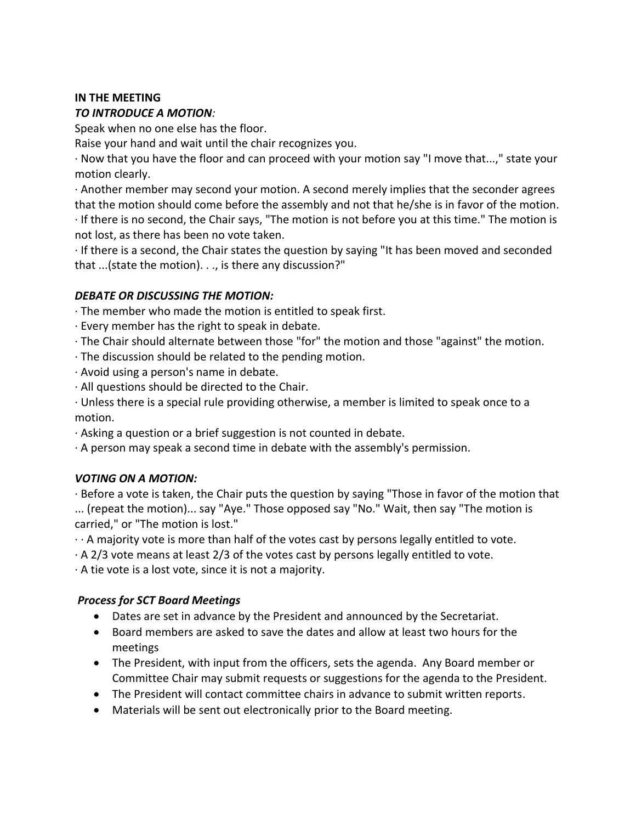# **IN THE MEETING**

#### *TO INTRODUCE A MOTION:*

Speak when no one else has the floor.

Raise your hand and wait until the chair recognizes you.

· Now that you have the floor and can proceed with your motion say "I move that...," state your motion clearly.

· Another member may second your motion. A second merely implies that the seconder agrees that the motion should come before the assembly and not that he/she is in favor of the motion. · If there is no second, the Chair says, "The motion is not before you at this time." The motion is not lost, as there has been no vote taken.

· If there is a second, the Chair states the question by saying "It has been moved and seconded that ...(state the motion). . ., is there any discussion?"

### *DEBATE OR DISCUSSING THE MOTION:*

- · The member who made the motion is entitled to speak first.
- · Every member has the right to speak in debate.
- · The Chair should alternate between those "for" the motion and those "against" the motion.
- · The discussion should be related to the pending motion.
- · Avoid using a person's name in debate.
- · All questions should be directed to the Chair.

· Unless there is a special rule providing otherwise, a member is limited to speak once to a motion.

· Asking a question or a brief suggestion is not counted in debate.

· A person may speak a second time in debate with the assembly's permission.

## *VOTING ON A MOTION:*

· Before a vote is taken, the Chair puts the question by saying "Those in favor of the motion that ... (repeat the motion)... say "Aye." Those opposed say "No." Wait, then say "The motion is carried," or "The motion is lost."

 $\cdot$   $\cdot$  A majority vote is more than half of the votes cast by persons legally entitled to vote.

 $\cdot$  A 2/3 vote means at least 2/3 of the votes cast by persons legally entitled to vote.

· A tie vote is a lost vote, since it is not a majority.

## *Process for SCT Board Meetings*

- Dates are set in advance by the President and announced by the Secretariat.
- Board members are asked to save the dates and allow at least two hours for the meetings
- The President, with input from the officers, sets the agenda. Any Board member or Committee Chair may submit requests or suggestions for the agenda to the President.
- The President will contact committee chairs in advance to submit written reports.
- Materials will be sent out electronically prior to the Board meeting.